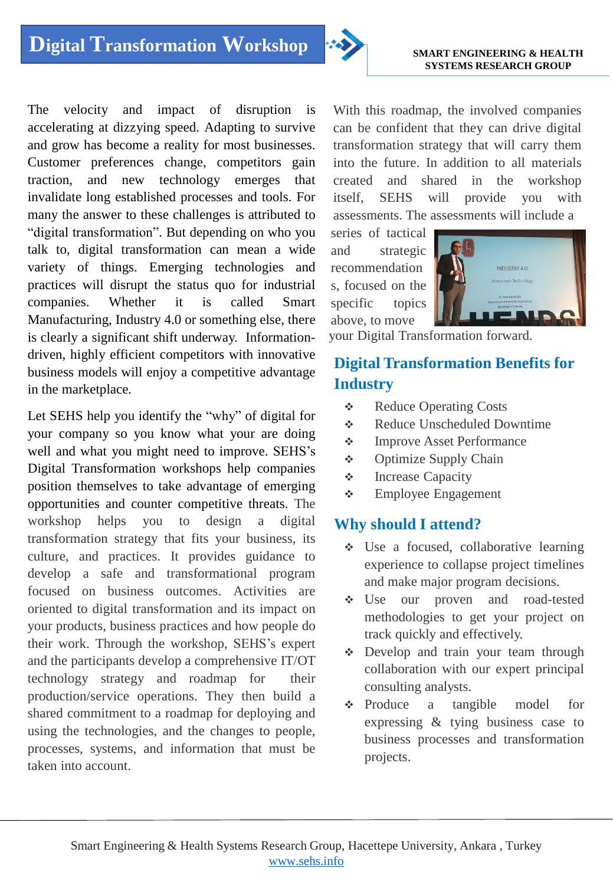The velocity and impact of disruption is accelerating at dizzying speed. Adapting to survive and grow has become a reality for most businesses. Customer preferences change, competitors gain traction, and new technology emerges that invalidate long established processes and tools. For many the answer to these challenges is attributed to "digital transformation". But depending on who you talk to, digital transformation can mean a wide variety of things. Emerging technologies and practices will disrupt the status quo for industrial companies. Whether it is called Smart Manufacturing, Industry 4.0 or something else, there is clearly a significant shift underway. Informationdriven, highly efficient competitors with innovative business models will enjoy a competitive advantage in the marketplace.

Let SEHS help you identify the "why" of digital for your company so you know what your are doing well and what you might need to improve. SEHS's Digital Transformation workshops help companies position themselves to take advantage of emerging opportunities and counter competitive threats. The workshop helps you to design a digital transformation strategy that fits your business, its culture, and practices. It provides guidance to develop a safe and transformational program focused on business outcomes. Activities are oriented to digital transformation and its impact on your products, business practices and how people do their work. Through the workshop, SEHS's expert and the participants develop a comprehensive IT/OT technology strategy and roadmap for their production/service operations. They then build a shared commitment to a roadmap for deploying and using the technologies, and the changes to people, processes, systems, and information that must be taken into account.

With this roadmap, the involved companies can be confident that they can drive digital transformation strategy that will carry them into the future. In addition to all materials created and shared in the workshop itself, SEHS will provide you with assessments. The assessments will include a

series of tactical and strategic recommendation s, focused on the specific topics above, to move



your Digital Transformation forward.

## **Digital Transformation Benefits for Industry**

- ❖ Reduce Operating Costs
- \* Reduce Unscheduled Downtime
- **Example 2** Improve Asset Performance
- ❖ Optimize Supply Chain
- **Example 2** Increase Capacity
- **Employee Engagement**

## **Why should I attend?**

- Use a focused, collaborative learning experience to collapse project timelines and make major program decisions.
- Use our proven and road-tested methodologies to get your project on track quickly and effectively.
- Develop and train your team through collaboration with our expert principal consulting analysts.
- Produce a tangible model for expressing & tying business case to business processes and transformation projects.